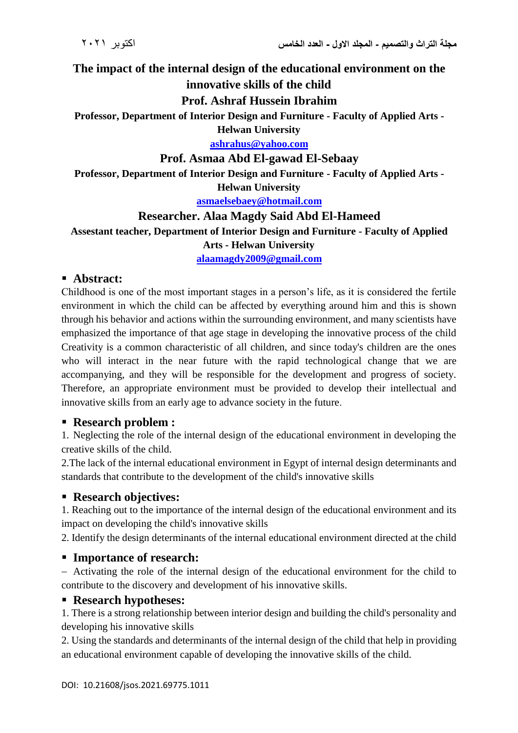# **The impact of the internal design of the educational environment on the innovative skills of the child**

### **Prof. Ashraf Hussein Ibrahim**

**Professor, Department of Interior Design and Furniture - Faculty of Applied Arts - Helwan University**

**[ashrahus@yahoo.com](mailto:ashrahus@yahoo.com)**

#### **Prof. Asmaa Abd El-gawad El-Sebaay**

**Professor, Department of Interior Design and Furniture - Faculty of Applied Arts - Helwan University**

**[asmaelsebaey@hotmail.com](mailto:asmaelsebaey@hotmail.com)**

#### **Researcher. Alaa Magdy Said Abd El-Hameed**

**Assestant teacher, Department of Interior Design and Furniture - Faculty of Applied Arts - Helwan University**

**[alaamagdy2009@gmail.com](mailto:alaamagdy2009@gmail.com)**

#### **Abstract:**

Childhood is one of the most important stages in a person's life, as it is considered the fertile environment in which the child can be affected by everything around him and this is shown through his behavior and actions within the surrounding environment, and many scientists have emphasized the importance of that age stage in developing the innovative process of the child Creativity is a common characteristic of all children, and since today's children are the ones who will interact in the near future with the rapid technological change that we are accompanying, and they will be responsible for the development and progress of society. Therefore, an appropriate environment must be provided to develop their intellectual and innovative skills from an early age to advance society in the future.

#### **Research problem :**

1. Neglecting the role of the internal design of the educational environment in developing the creative skills of the child.

2.The lack of the internal educational environment in Egypt of internal design determinants and standards that contribute to the development of the child's innovative skills

#### **Research objectives:**

1. Reaching out to the importance of the internal design of the educational environment and its impact on developing the child's innovative skills

2. Identify the design determinants of the internal educational environment directed at the child

#### **Importance of research:**

 Activating the role of the internal design of the educational environment for the child to contribute to the discovery and development of his innovative skills.

#### **Research hypotheses:**

1. There is a strong relationship between interior design and building the child's personality and developing his innovative skills

2. Using the standards and determinants of the internal design of the child that help in providing an educational environment capable of developing the innovative skills of the child.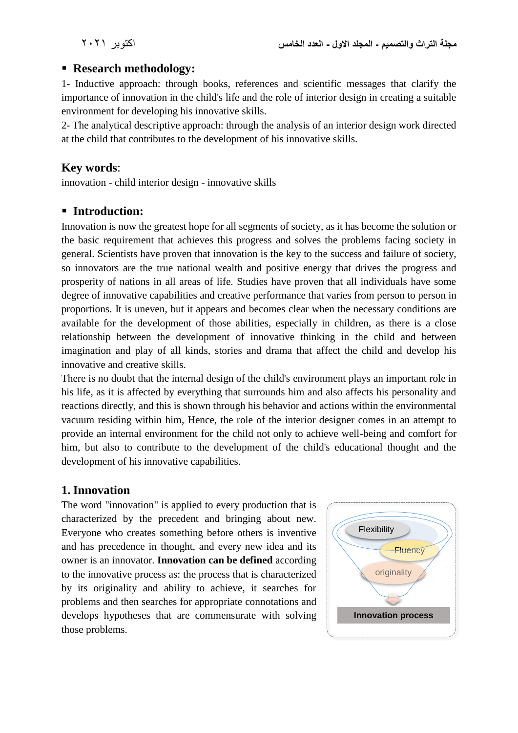#### **Research methodology:**

1- Inductive approach: through books, references and scientific messages that clarify the importance of innovation in the child's life and the role of interior design in creating a suitable environment for developing his innovative skills.

2- The analytical descriptive approach: through the analysis of an interior design work directed at the child that contributes to the development of his innovative skills.

### **Key words**:

innovation - child interior design - innovative skills

#### **Introduction:**

Innovation is now the greatest hope for all segments of society, as it has become the solution or the basic requirement that achieves this progress and solves the problems facing society in general. Scientists have proven that innovation is the key to the success and failure of society, so innovators are the true national wealth and positive energy that drives the progress and prosperity of nations in all areas of life. Studies have proven that all individuals have some degree of innovative capabilities and creative performance that varies from person to person in proportions. It is uneven, but it appears and becomes clear when the necessary conditions are available for the development of those abilities, especially in children, as there is a close relationship between the development of innovative thinking in the child and between imagination and play of all kinds, stories and drama that affect the child and develop his innovative and creative skills.

There is no doubt that the internal design of the child's environment plays an important role in his life, as it is affected by everything that surrounds him and also affects his personality and reactions directly, and this is shown through his behavior and actions within the environmental vacuum residing within him, Hence, the role of the interior designer comes in an attempt to provide an internal environment for the child not only to achieve well-being and comfort for him, but also to contribute to the development of the child's educational thought and the development of his innovative capabilities.

#### **1. Innovation**

The word "innovation" is applied to every production that is characterized by the precedent and bringing about new. Everyone who creates something before others is inventive and has precedence in thought, and every new idea and its owner is an innovator. **Innovation can be defined** according to the innovative process as: the process that is characterized by its originality and ability to achieve, it searches for problems and then searches for appropriate connotations and develops hypotheses that are commensurate with solving those problems.

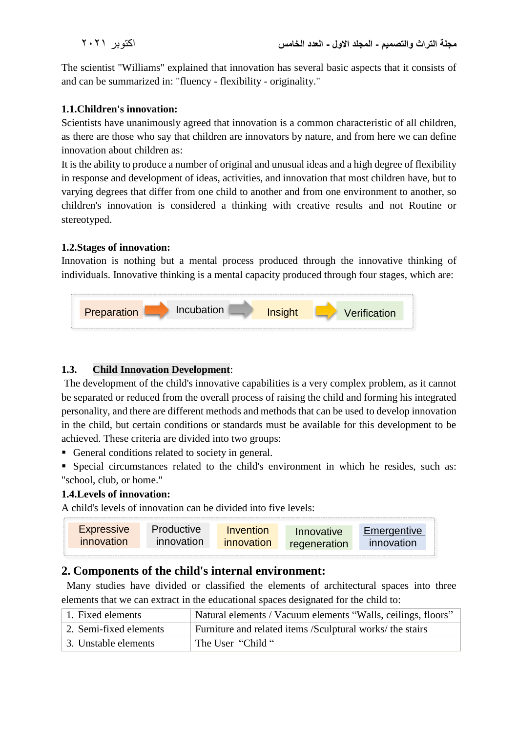The scientist "Williams" explained that innovation has several basic aspects that it consists of and can be summarized in: "fluency - flexibility - originality."

#### **1.1.Children's innovation:**

Scientists have unanimously agreed that innovation is a common characteristic of all children, as there are those who say that children are innovators by nature, and from here we can define innovation about children as:

It is the ability to produce a number of original and unusual ideas and a high degree of flexibility in response and development of ideas, activities, and innovation that most children have, but to varying degrees that differ from one child to another and from one environment to another, so children's innovation is considered a thinking with creative results and not Routine or stereotyped.

#### **1.2.Stages of innovation:**

Innovation is nothing but a mental process produced through the innovative thinking of individuals. Innovative thinking is a mental capacity produced through four stages, which are:



#### **1.3. Child Innovation Development**:

The development of the child's innovative capabilities is a very complex problem, as it cannot be separated or reduced from the overall process of raising the child and forming his integrated personality, and there are different methods and methods that can be used to develop innovation in the child, but certain conditions or standards must be available for this development to be achieved. These criteria are divided into two groups:

- General conditions related to society in general.
- Special circumstances related to the child's environment in which he resides, such as: "school, club, or home."

#### **1.4.Levels of innovation:**

A child's levels of innovation can be divided into five levels:



# **2. Components of the child's internal environment:**

 Many studies have divided or classified the elements of architectural spaces into three elements that we can extract in the educational spaces designated for the child to:

| 1. Fixed elements      | Natural elements / Vacuum elements "Walls, ceilings, floors" |
|------------------------|--------------------------------------------------------------|
| 2. Semi-fixed elements | Furniture and related items /Sculptural works/ the stairs    |
| 3. Unstable elements   | The User "Child"                                             |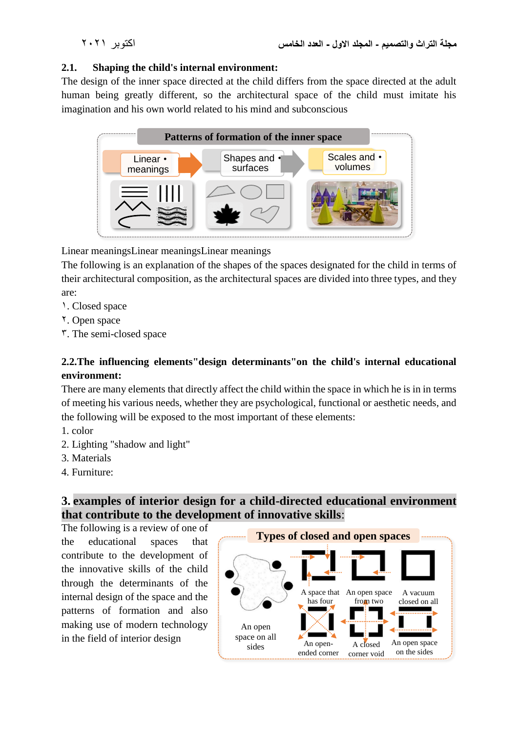#### **2.1. Shaping the child's internal environment:**

The design of the inner space directed at the child differs from the space directed at the adult human being greatly different, so the architectural space of the child must imitate his imagination and his own world related to his mind and subconscious



Linear meaningsLinear meaningsLinear meanings

The following is an explanation of the shapes of the spaces designated for the child in terms of their architectural composition, as the architectural spaces are divided into three types, and they are:

- 1. Closed space
- 2. Open space
- $\tilde{\mathbf{5}}$ . The semi-closed space

#### **2.2.The influencing elements"design determinants"on the child's internal educational environment:**

There are many elements that directly affect the child within the space in which he is in in terms of meeting his various needs, whether they are psychological, functional or aesthetic needs, and the following will be exposed to the most important of these elements:

- 1. color
- 2. Lighting "shadow and light"
- 3. Materials
- 4. Furniture:

# **3. examples of interior design for a child-directed educational environment that contribute to the development of innovative skills**:

The following is a review of one of the educational spaces that contribute to the development of the innovative skills of the child through the determinants of the internal design of the space and the patterns of formation and also making use of modern technology in the field of interior design

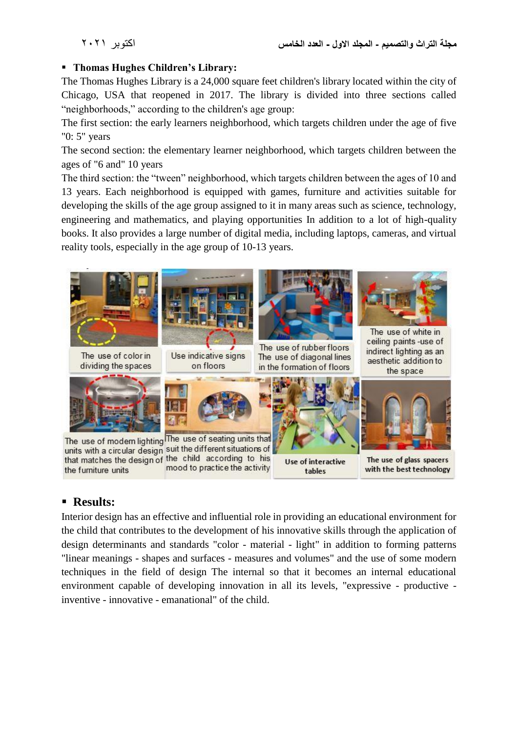#### **Thomas Hughes Children's Library:**

The Thomas Hughes Library is a 24,000 square feet children's library located within the city of Chicago, USA that reopened in 2017. The library is divided into three sections called "neighborhoods," according to the children's age group:

The first section: the early learners neighborhood, which targets children under the age of five "0: 5" years

The second section: the elementary learner neighborhood, which targets children between the ages of "6 and" 10 years

The third section: the "tween" neighborhood, which targets children between the ages of 10 and 13 years. Each neighborhood is equipped with games, furniture and activities suitable for developing the skills of the age group assigned to it in many areas such as science, technology, engineering and mathematics, and playing opportunities In addition to a lot of high-quality books. It also provides a large number of digital media, including laptops, cameras, and virtual reality tools, especially in the age group of 10-13 years.



# **Results:**

Interior design has an effective and influential role in providing an educational environment for the child that contributes to the development of his innovative skills through the application of design determinants and standards "color - material - light" in addition to forming patterns "linear meanings - shapes and surfaces - measures and volumes" and the use of some modern techniques in the field of design The internal so that it becomes an internal educational environment capable of developing innovation in all its levels, "expressive - productive inventive - innovative - emanational" of the child.